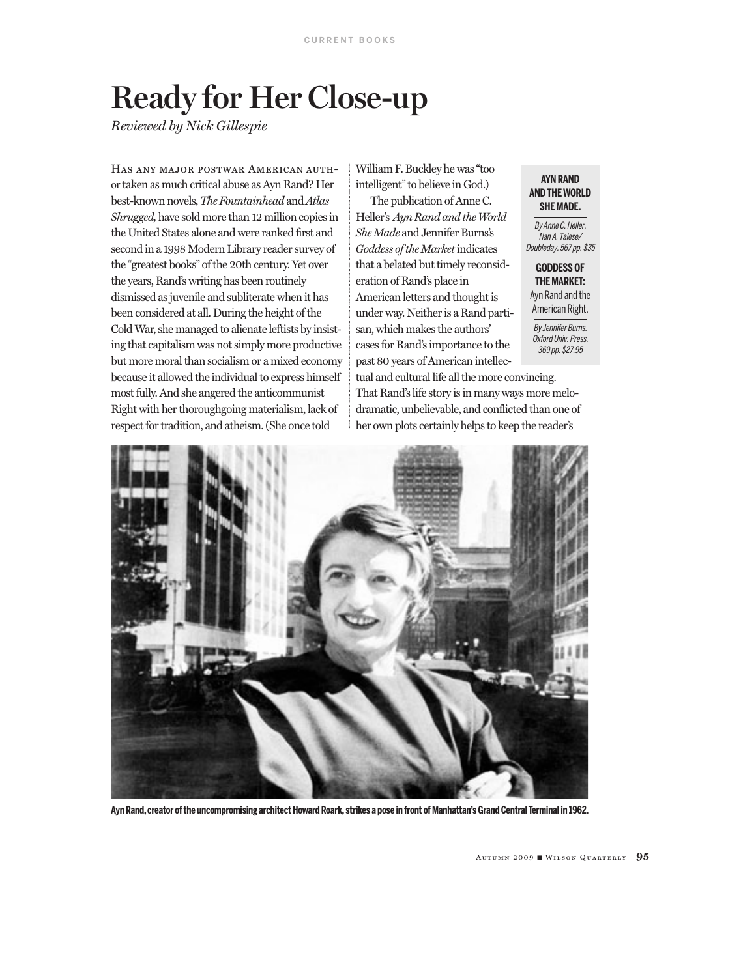# **Ready for Her Close-up**

*Reviewed by Nick Gillespie* 

Has any major postwar American author taken as much critical abuse as Ayn Rand? Her best-known novels, *The Fountainhead* and *Atlas Shrugged,* have sold more than 12 million copies in the United States alone and were ranked first and second in a 1998 Modern Library reader survey of the "greatest books" of the 20th century. Yet over the years, Rand's writing has been routinely dismissed as juvenile and subliterate when it has been considered at all. During the height of the Cold War, she managed to alienate leftists by insisting that capitalism was not simply more productive but more moral than socialism or a mixed economy because it allowed the individual to express himself most fully. And she angered the anticommunist Right with her thoroughgoing materialism, lack of respect for tradition, and atheism. (She once told

William F. Buckley he was "too intelligent" to believe in God.)

The publication of Anne C. Heller's *Ayn Rand and the World She Made* and Jennifer Burns's *Goddess of the Market* indicates that a belated but timely reconsideration of Rand's place in American letters and thought is under way. Neither is a Rand partisan, which makes the authors' cases for Rand's importance to the past 80 years of American intellec-

#### **SHE MADE. AYN RAND AND THE WORLD**

By Anne C. Heller. Nan A. Talese/ Doubleday. 567 pp. \$35

## **GODDESS OF THE MARKET:**  Ayn Rand and the

American Right. By Jennifer Burns. Oxford Univ. Press. 369 pp. \$27.95

tual and cultural life all the more convincing. That Rand's life story is in many ways more melodramatic, unbelievable, and conflicted than one of her own plots certainly helps to keep the reader's



**Ayn Rand, creator of the uncompromising architect Howard Roark, strikes a pose in front of Manhattan's Grand Central Terminal in 1962.**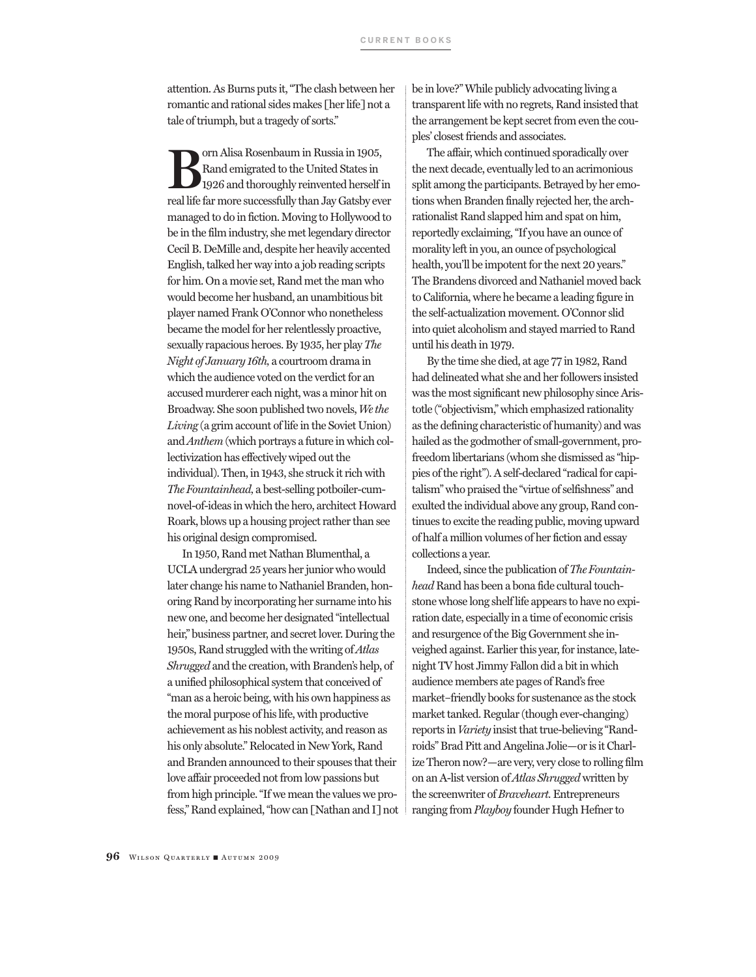attention. As Burns puts it, "The clash between her romantic and rational sides makes [her life] not a tale of triumph, but a tragedy of sorts."

**Boulding Rosenbaum in Russia in 1905,<br>Rand emigrated to the United States in<br>1926 and thoroughly reinvented herself is<br>callife for more successfully than Jay Cataby or** Rand emigrated to the United States in 1926 and thoroughly reinvented herself in real life far more successfully than Jay Gatsby ever managed to do in fiction. Moving to Hollywood to be in the film industry, she met legendary director Cecil B. DeMille and, despite her heavily accented English, talked her way into a job reading scripts for him. On a movie set, Rand met the man who would become her husband, an unambitious bit player named Frank O'Connor who nonetheless became the model for her relentlessly proactive, sexually rapacious heroes. By 1935, her play *The Night of January 16th,* a courtroom drama in which the audience voted on the verdict for an accused murderer each night, was a minor hit on Broadway. She soon published two novels, *We the Living* (a grim account of life in the Soviet Union) and *Anthem* (which portrays a future in which collectivization has effectively wiped out the individual). Then, in 1943, she struck it rich with *The Fountainhead,* a best-selling potboiler-cumnovel-of-ideas in which the hero, architect Howard Roark, blows up a housing project rather than see his original design compromised.

In 1950, Rand met Nathan Blumenthal, a UCLA undergrad 25 years her junior who would later change his name to Nathaniel Branden, honoring Rand by incorporating her surname into his new one, and become her designated "intellectual heir," business partner, and secret lover. During the 1950s, Rand struggled with the writing of *Atlas Shrugged* and the creation, with Branden's help, of a unified philosophical system that conceived of "man as a heroic being, with his own happiness as the moral purpose of his life, with productive achievement as his noblest activity, and reason as his only absolute." Relocated in New York, Rand and Branden announced to their spouses that their love affair proceeded not from low passions but from high principle. "If we mean the values we profess," Rand explained, "how can [Nathan and I] not be in love?" While publicly advocating living a transparent life with no regrets, Rand insisted that the arrangement be kept secret from even the couples' closest friends and associates.

The affair, which continued sporadically over the next decade, eventually led to an acrimonious split among the participants. Betrayed by her emotions when Branden finally rejected her, the archrationalist Rand slapped him and spat on him, reportedly exclaiming, "If you have an ounce of morality left in you, an ounce of psychological health, you'll be impotent for the next 20 years." The Brandens divorced and Nathaniel moved back to California, where he became a leading figure in the self-actualization movement. O'Connor slid into quiet alcoholism and stayed married to Rand until his death in 1979.

By the time she died, at age 77 in 1982, Rand had delineated what she and her followers insisted was the most significant new philosophy since Aristotle ("objectivism," which emphasized rationality as the defining characteristic of humanity) and was hailed as the godmother of small-government, profreedom libertarians (whom she dismissed as "hippies of the right"). A self-declared "radical for capitalism" who praised the "virtue of selfishness" and exulted the individual above any group, Rand continues to excite the reading public, moving upward of half a million volumes of her fiction and essay collections a year.

Indeed, since the publication of *The Fountainhead* Rand has been a bona fide cultural touchstone whose long shelf life appears to have no expiration date, especially in a time of economic crisis and resurgence of the Big Government she inveighed against. Earlier this year, for instance, latenight TV host Jimmy Fallon did a bit in which audience members ate pages of Rand's free market–friendly books for sustenance as the stock market tanked. Regular (though ever-changing) reports in *Variety* insist that true-believing "Randroids" Brad Pitt and Angelina Jolie—or is it Charlize Theron now?—are very, very close to rolling film on an A-list version of *Atlas Shrugged* written by the screenwriter of *Braveheart.* Entrepreneurs ranging from *Playboy* founder Hugh Hefner to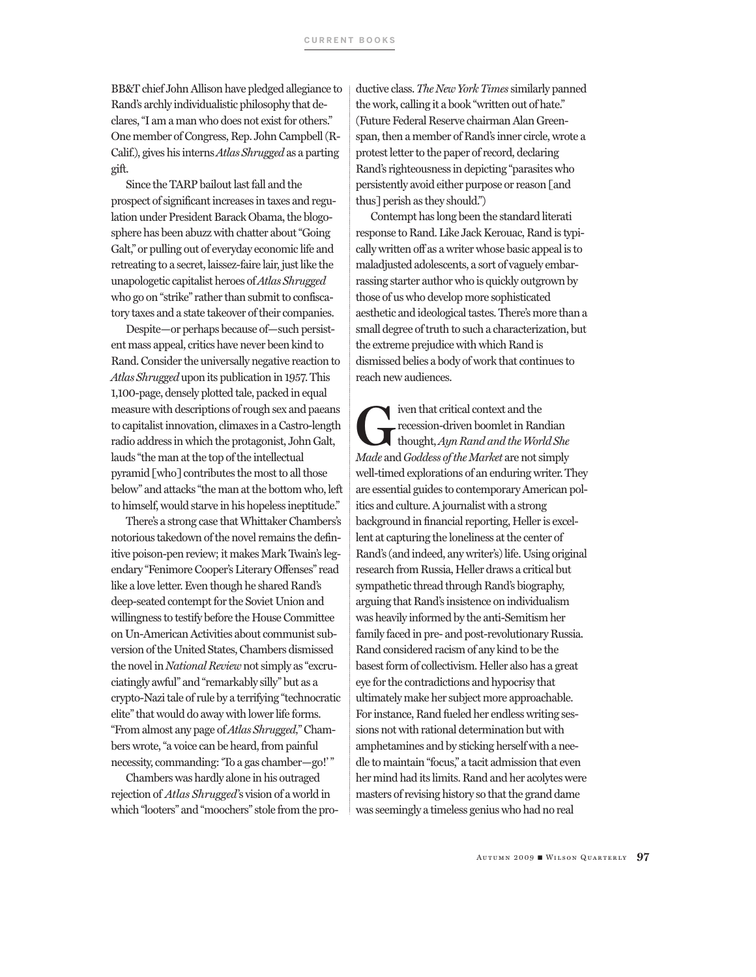BB&T chief John Allison have pledged allegiance to Rand's archly individualistic philosophy that declares, "I am a man who does not exist for others." One member of Congress, Rep. John Campbell (R-Calif.), gives his interns *Atlas Shrugged* as a parting gift.

Since the TARP bailout last fall and the prospect of significant increases in taxes and regulation under President Barack Obama, the blogosphere has been abuzz with chatter about "Going Galt," or pulling out of everyday economic life and retreating to a secret, laissez-faire lair, just like the unapologetic capitalist heroes of *Atlas Shrugged*  who go on "strike" rather than submit to confiscatory taxes and a state takeover of their companies.

Despite—or perhaps because of—such persistent mass appeal, critics have never been kind to Rand. Consider the universally negative reaction to *Atlas Shrugged* upon its publication in 1957. This 1,100-page, densely plotted tale, packed in equal measure with descriptions of rough sex and paeans to capitalist innovation, climaxes in a Castro-length radio address in which the protagonist, John Galt, lauds "the man at the top of the intellectual pyramid [who] contributes the most to all those below" and attacks "the man at the bottom who, left to himself, would starve in his hopeless ineptitude."

There's a strong case that Whittaker Chambers's notorious takedown of the novel remains the definitive poison-pen review; it makes Mark Twain's legendary "Fenimore Cooper's Literary Offenses" read like a love letter. Even though he shared Rand's deep-seated contempt for the Soviet Union and willingness to testify before the House Committee on Un-American Activities about communist subversion of the United States, Chambers dismissed the novel in *National Review* not simply as "excruciatingly awful" and "remarkably silly" but as a crypto-Nazi tale of rule by a terrifying "technocratic elite" that would do away with lower life forms. "From almost any page of *Atlas Shrugged,*" Chambers wrote, "a voice can be heard, from painful necessity, commanding: 'To a gas chamber—go!' "

Chambers was hardly alone in his outraged rejection of *Atlas Shrugged*'s vision of a world in which "looters" and "moochers" stole from the productive class. *The New York Times* similarly panned the work, calling it a book "written out of hate." (Future Federal Reserve chairman Alan Greenspan, then a member of Rand's inner circle, wrote a protest letter to the paper of record, declaring Rand's righteousness in depicting "parasites who persistently avoid either purpose or reason [and thus] perish as they should.")

Contempt has long been the standard literati response to Rand. Like Jack Kerouac, Rand is typically written off as a writer whose basic appeal is to maladjusted adolescents, a sort of vaguely embarrassing starter author who is quickly outgrown by those of us who develop more sophisticated aesthetic and ideological tastes. There's more than a small degree of truth to such a characterization, but the extreme prejudice with which Rand is dismissed belies a body of work that continues to reach new audiences.

Fiven that critical context and the<br>
recession-driven boomlet in Randian<br>
thought, *Ayn Rand and the World She*<br>
Made and Coddese of the Market are not simply recession-driven boomlet in Randian *Made* and *Goddess of the Market* are not simply well-timed explorations of an enduring writer. They are essential guides to contemporary American politics and culture. A journalist with a strong background in financial reporting, Heller is excellent at capturing the loneliness at the center of Rand's (and indeed, any writer's) life. Using original research from Russia, Heller draws a critical but sympathetic thread through Rand's biography, arguing that Rand's insistence on individualism was heavily informed by the anti-Semitism her family faced in pre- and post-revolutionary Russia. Rand considered racism of any kind to be the basest form of collectivism. Heller also has a great eye for the contradictions and hypocrisy that ultimately make her subject more approachable. For instance, Rand fueled her endless writing sessions not with rational determination but with amphetamines and by sticking herself with a needle to maintain "focus," a tacit admission that even her mind had its limits. Rand and her acolytes were masters of revising history so that the grand dame was seemingly a timeless genius who had no real